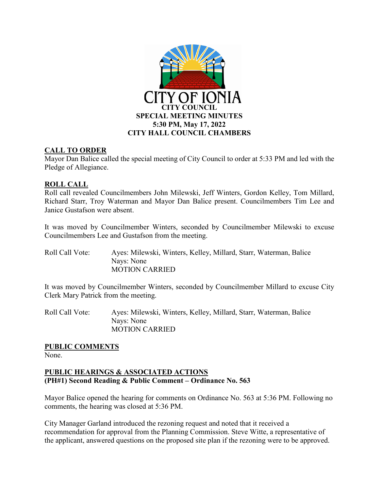

## **CALL TO ORDER**

Mayor Dan Balice called the special meeting of City Council to order at 5:33 PM and led with the Pledge of Allegiance.

## **ROLL CALL**

Roll call revealed Councilmembers John Milewski, Jeff Winters, Gordon Kelley, Tom Millard, Richard Starr, Troy Waterman and Mayor Dan Balice present. Councilmembers Tim Lee and Janice Gustafson were absent.

It was moved by Councilmember Winters, seconded by Councilmember Milewski to excuse Councilmembers Lee and Gustafson from the meeting.

| Roll Call Vote: | Ayes: Milewski, Winters, Kelley, Millard, Starr, Waterman, Balice |
|-----------------|-------------------------------------------------------------------|
|                 | Nays: None                                                        |
|                 | <b>MOTION CARRIED</b>                                             |

It was moved by Councilmember Winters, seconded by Councilmember Millard to excuse City Clerk Mary Patrick from the meeting.

Roll Call Vote: Ayes: Milewski, Winters, Kelley, Millard, Starr, Waterman, Balice Nays: None MOTION CARRIED

## **PUBLIC COMMENTS**

None.

## **PUBLIC HEARINGS & ASSOCIATED ACTIONS (PH#1) Second Reading & Public Comment – Ordinance No. 563**

Mayor Balice opened the hearing for comments on Ordinance No. 563 at 5:36 PM. Following no comments, the hearing was closed at 5:36 PM.

City Manager Garland introduced the rezoning request and noted that it received a recommendation for approval from the Planning Commission. Steve Witte, a representative of the applicant, answered questions on the proposed site plan if the rezoning were to be approved.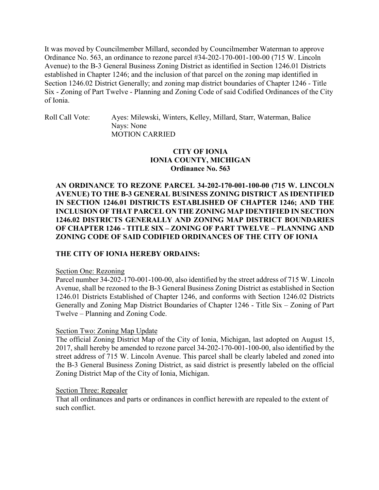It was moved by Councilmember Millard, seconded by Councilmember Waterman to approve Ordinance No. 563, an ordinance to rezone parcel #34-202-170-001-100-00 (715 W. Lincoln Avenue) to the B-3 General Business Zoning District as identified in Section 1246.01 Districts established in Chapter 1246; and the inclusion of that parcel on the zoning map identified in Section 1246.02 District Generally; and zoning map district boundaries of Chapter 1246 - Title Six - Zoning of Part Twelve - Planning and Zoning Code of said Codified Ordinances of the City of Ionia.

Roll Call Vote: Ayes: Milewski, Winters, Kelley, Millard, Starr, Waterman, Balice Nays: None MOTION CARRIED

### **CITY OF IONIA IONIA COUNTY, MICHIGAN Ordinance No. 563**

**AN ORDINANCE TO REZONE PARCEL 34-202-170-001-100-00 (715 W. LINCOLN AVENUE) TO THE B-3 GENERAL BUSINESS ZONING DISTRICT AS IDENTIFIED IN SECTION 1246.01 DISTRICTS ESTABLISHED OF CHAPTER 1246; AND THE INCLUSION OF THAT PARCEL ON THE ZONING MAP IDENTIFIED IN SECTION 1246.02 DISTRICTS GENERALLY AND ZONING MAP DISTRICT BOUNDARIES OF CHAPTER 1246 - TITLE SIX – ZONING OF PART TWELVE – PLANNING AND ZONING CODE OF SAID CODIFIED ORDINANCES OF THE CITY OF IONIA**

### **THE CITY OF IONIA HEREBY ORDAINS:**

#### Section One: Rezoning

Parcel number 34-202-170-001-100-00, also identified by the street address of 715 W. Lincoln Avenue, shall be rezoned to the B-3 General Business Zoning District as established in Section 1246.01 Districts Established of Chapter 1246, and conforms with Section 1246.02 Districts Generally and Zoning Map District Boundaries of Chapter 1246 - Title Six – Zoning of Part Twelve – Planning and Zoning Code.

### Section Two: Zoning Map Update

The official Zoning District Map of the City of Ionia, Michigan, last adopted on August 15, 2017, shall hereby be amended to rezone parcel 34-202-170-001-100-00, also identified by the street address of 715 W. Lincoln Avenue. This parcel shall be clearly labeled and zoned into the B-3 General Business Zoning District, as said district is presently labeled on the official Zoning District Map of the City of Ionia, Michigan.

#### Section Three: Repealer

That all ordinances and parts or ordinances in conflict herewith are repealed to the extent of such conflict.